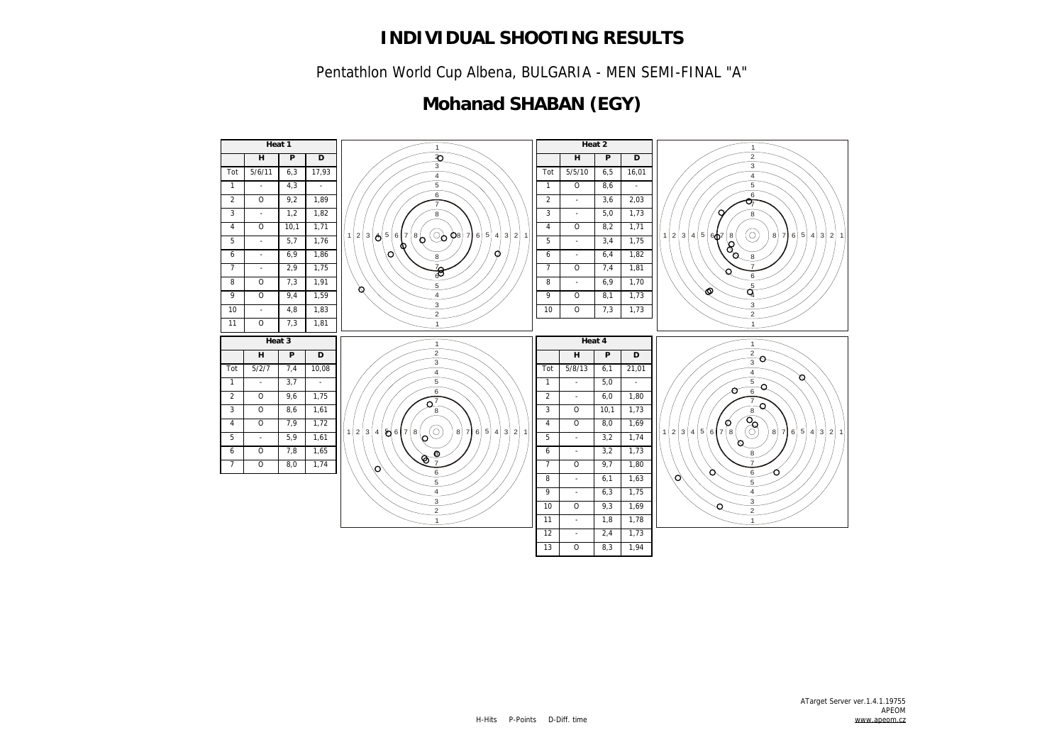Pentathlon World Cup Albena, BULGARIA - MEN SEMI-FINAL "A"

## **Mohanad SHABAN (EGY)**

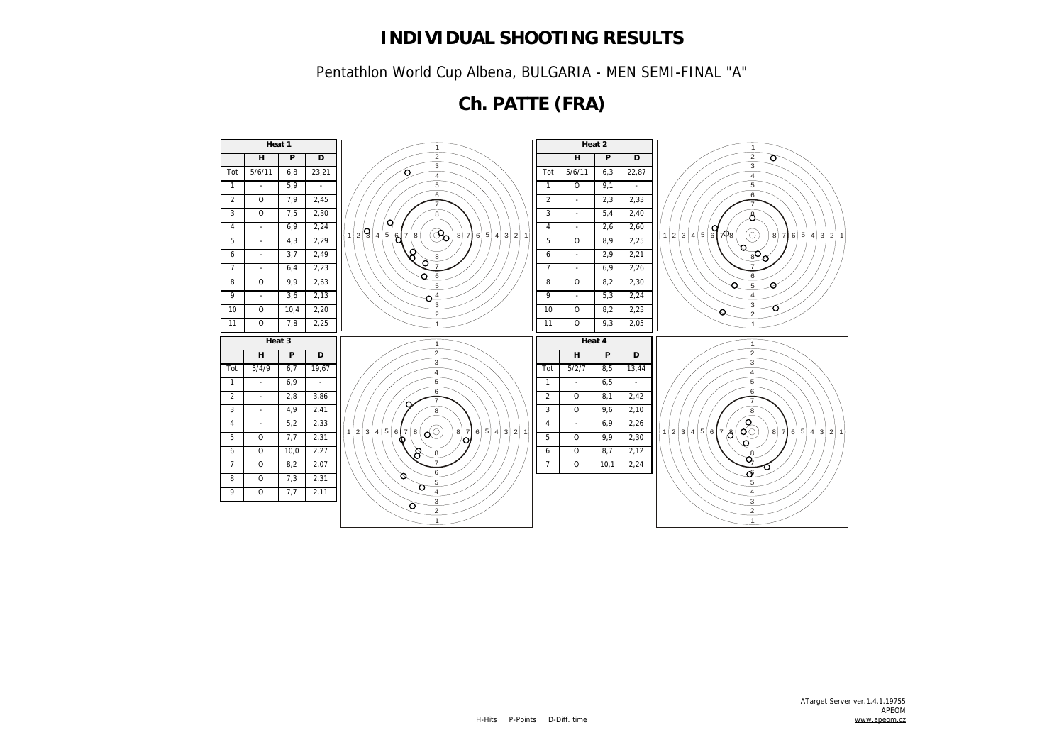Pentathlon World Cup Albena, BULGARIA - MEN SEMI-FINAL "A"

**Ch. PATTE (FRA)**

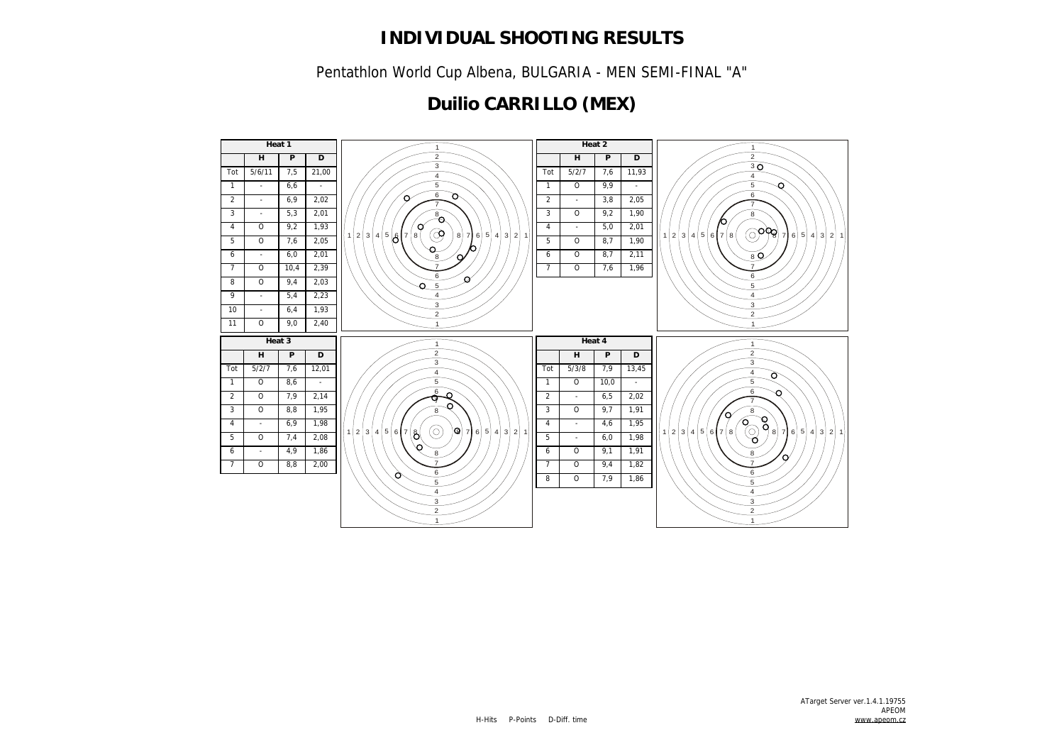Pentathlon World Cup Albena, BULGARIA - MEN SEMI-FINAL "A"

## **Duilio CARRILLO (MEX)**

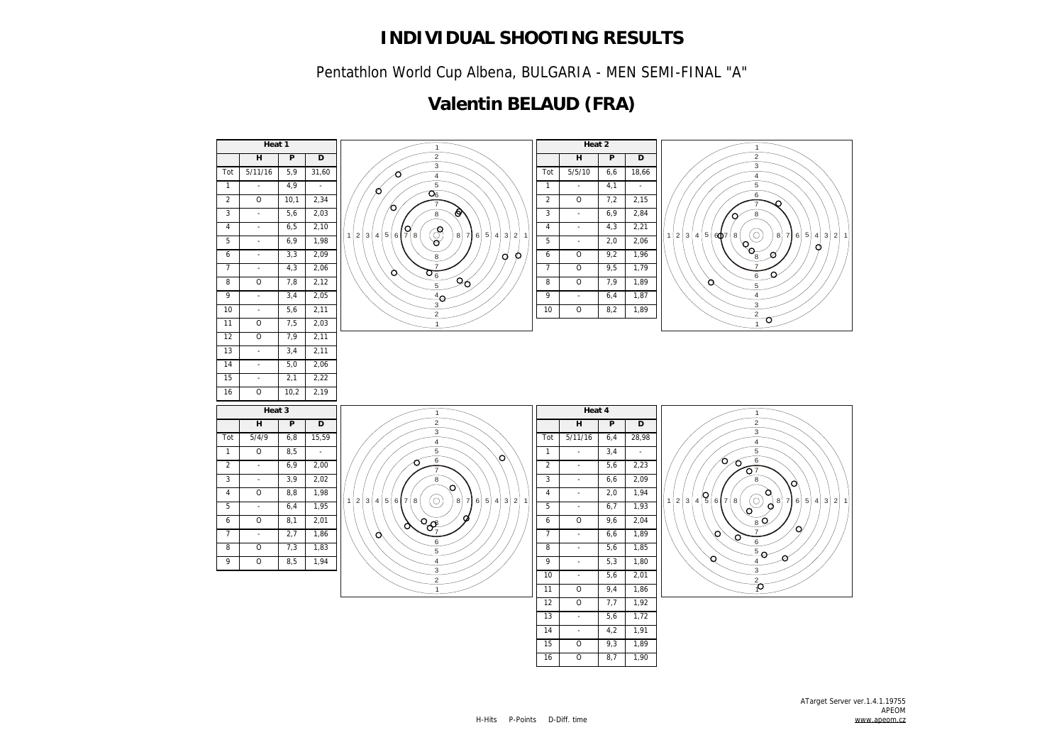Pentathlon World Cup Albena, BULGARIA - MEN SEMI-FINAL "A"

## **Valentin BELAUD (FRA)**

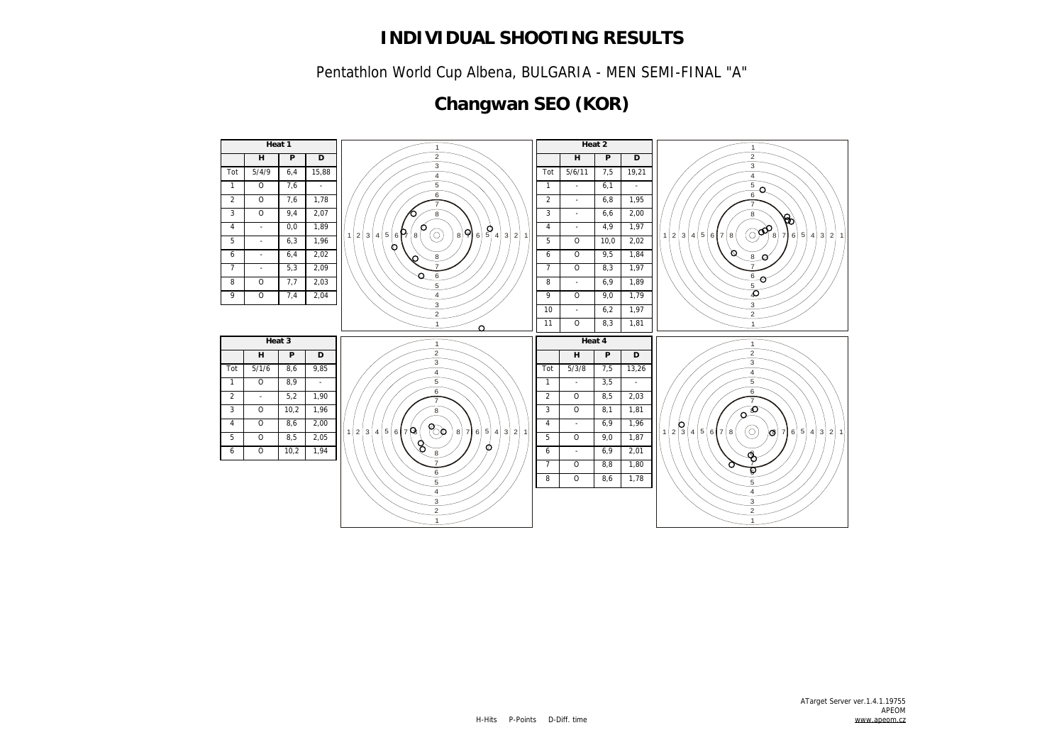Pentathlon World Cup Albena, BULGARIA - MEN SEMI-FINAL "A"

## **Changwan SEO (KOR)**

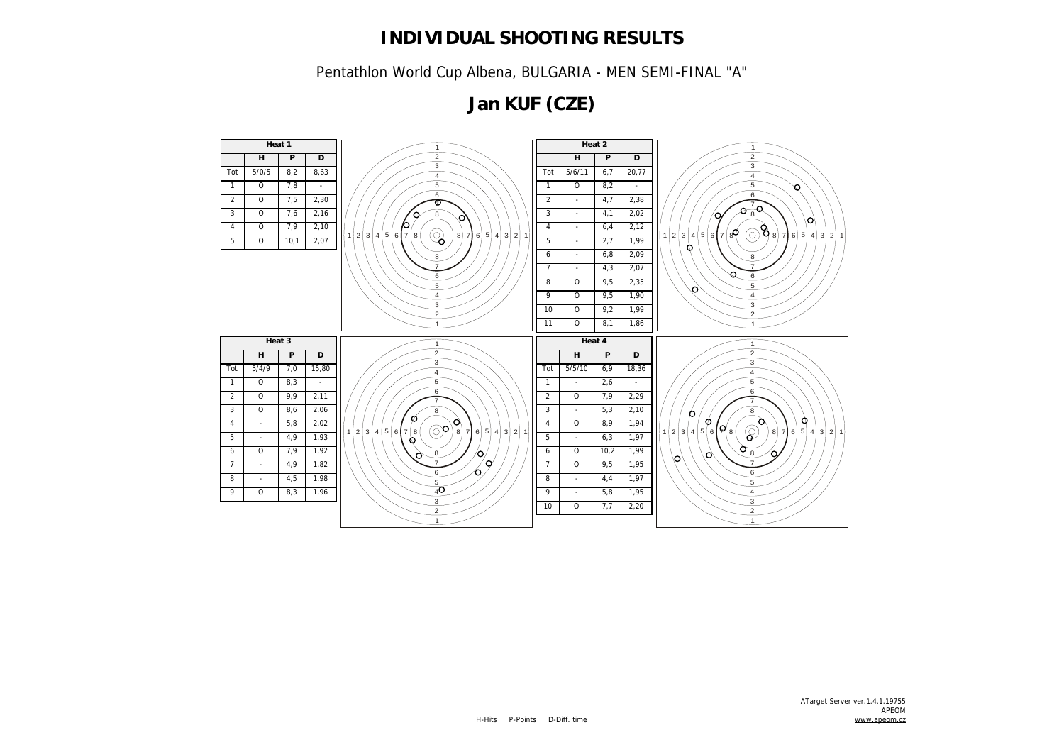Pentathlon World Cup Albena, BULGARIA - MEN SEMI-FINAL "A"

**Jan KUF (CZE)**

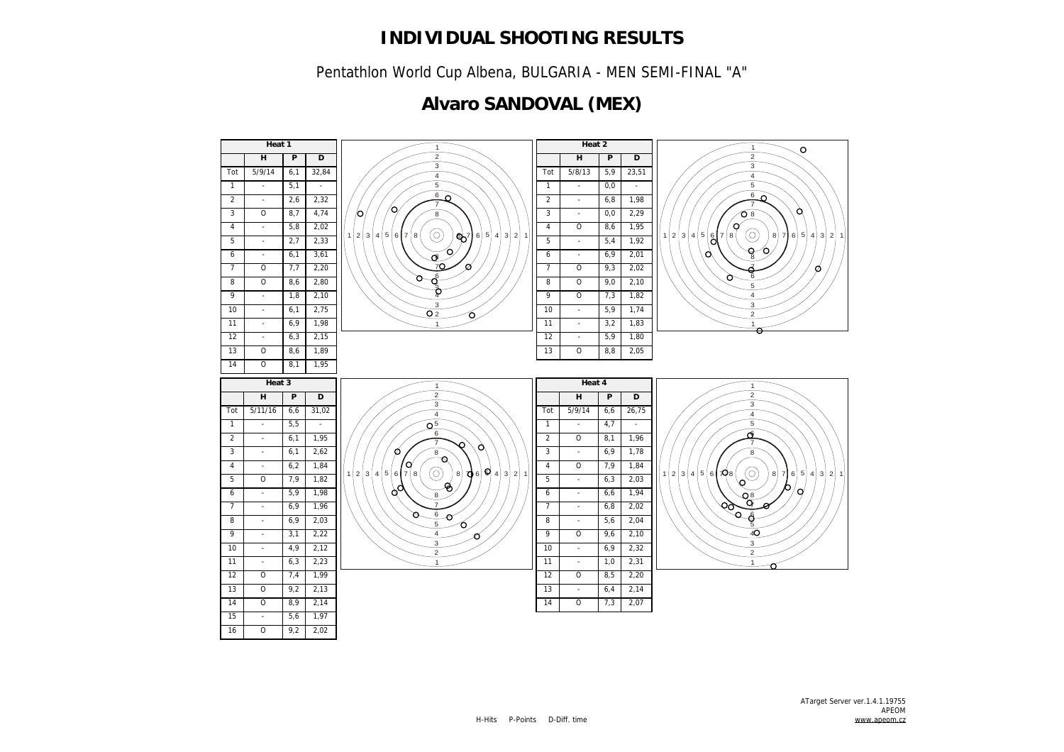Pentathlon World Cup Albena, BULGARIA - MEN SEMI-FINAL "A"

## **Alvaro SANDOVAL (MEX)**

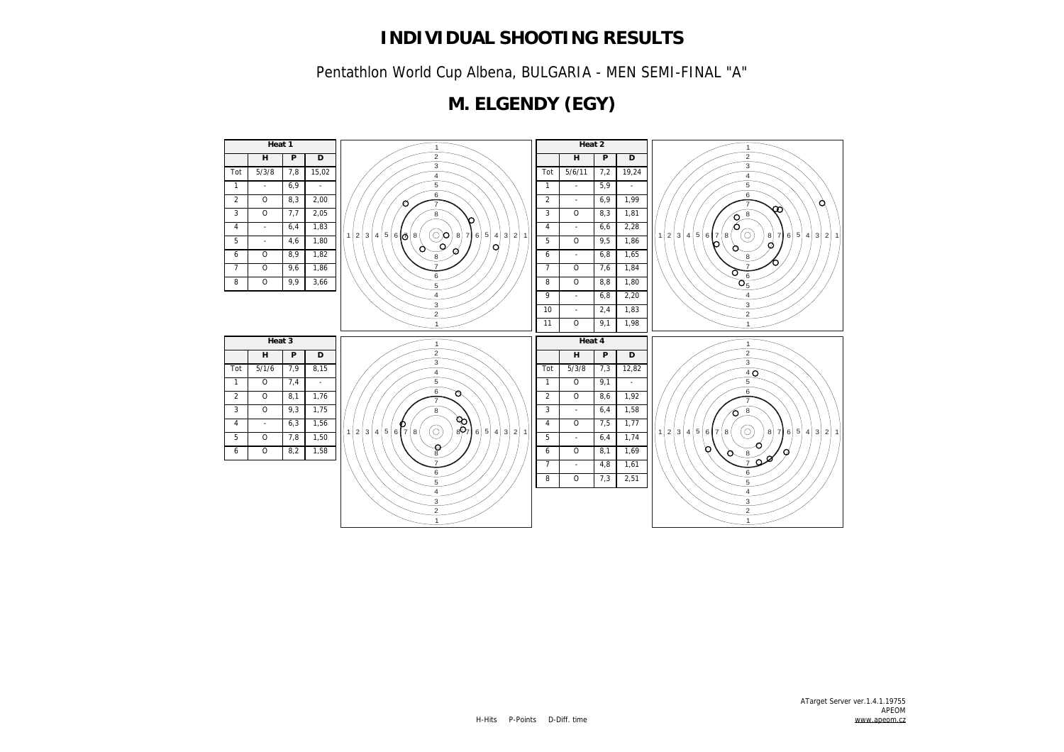Pentathlon World Cup Albena, BULGARIA - MEN SEMI-FINAL "A"

## **M. ELGENDY (EGY)**

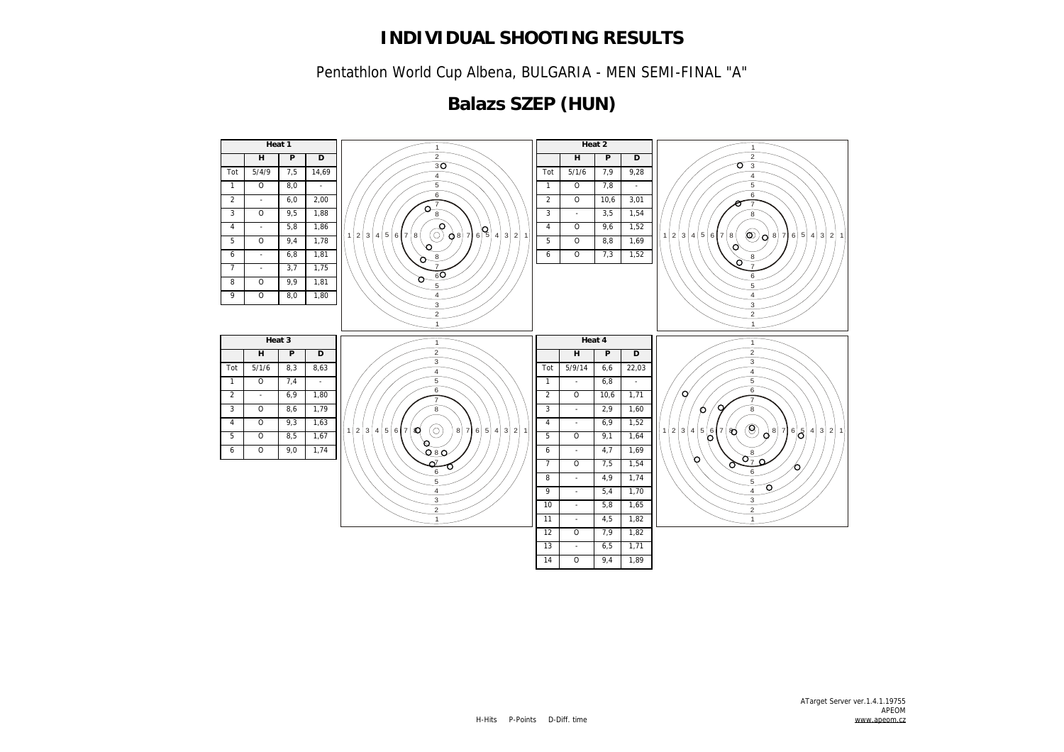Pentathlon World Cup Albena, BULGARIA - MEN SEMI-FINAL "A"

## **Balazs SZEP (HUN)**

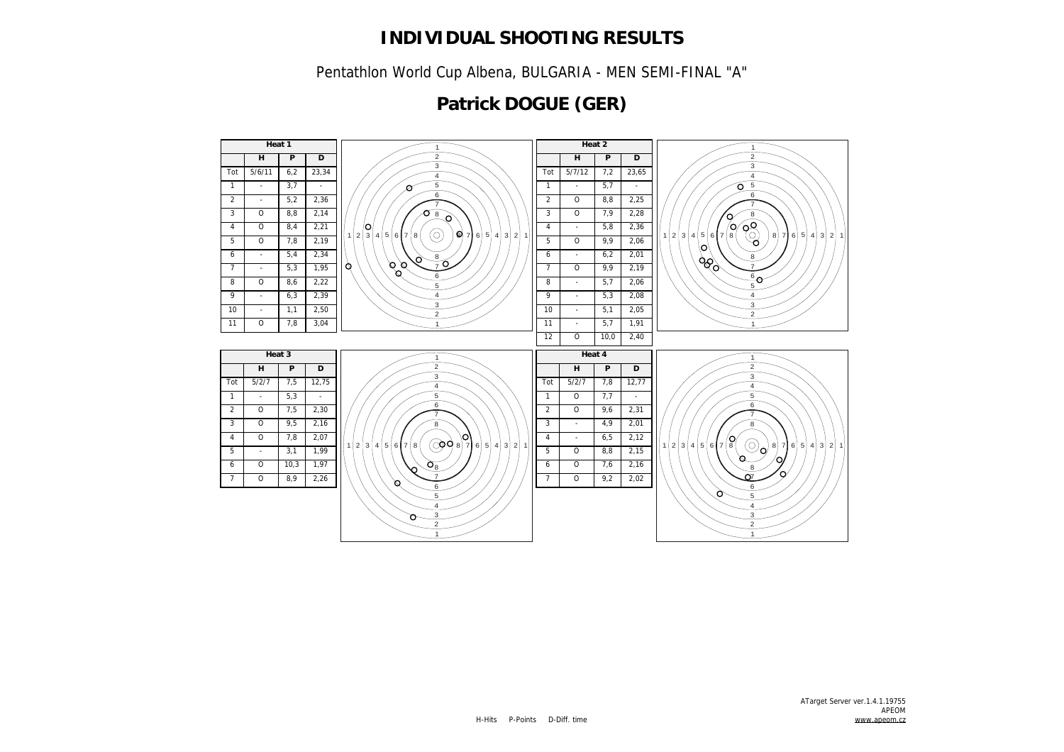Pentathlon World Cup Albena, BULGARIA - MEN SEMI-FINAL "A"

## **Patrick DOGUE (GER)**

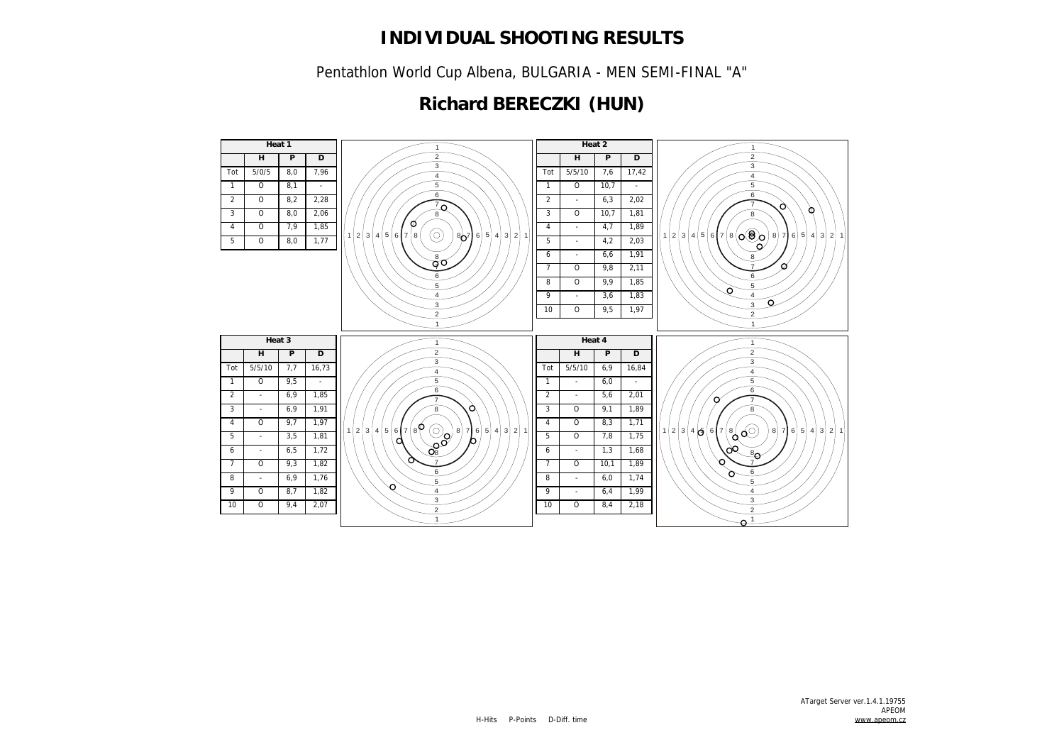Pentathlon World Cup Albena, BULGARIA - MEN SEMI-FINAL "A"

## **Richard BERECZKI (HUN)**

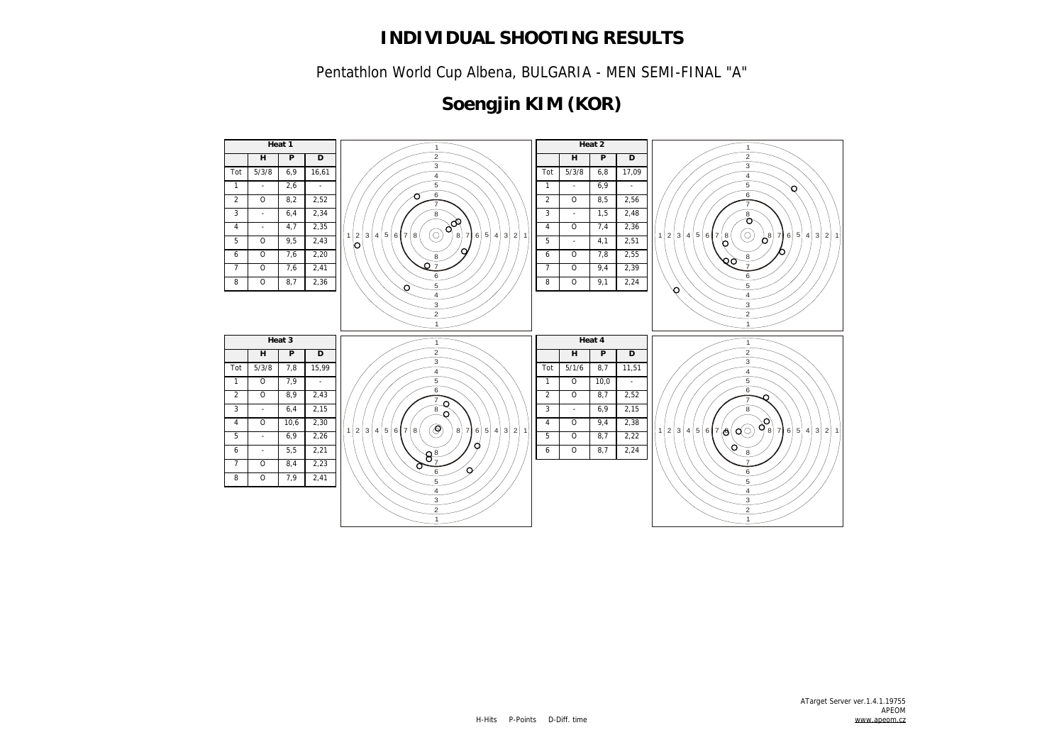Pentathlon World Cup Albena, BULGARIA - MEN SEMI-FINAL "A"

# **Soengjin KIM (KOR)**

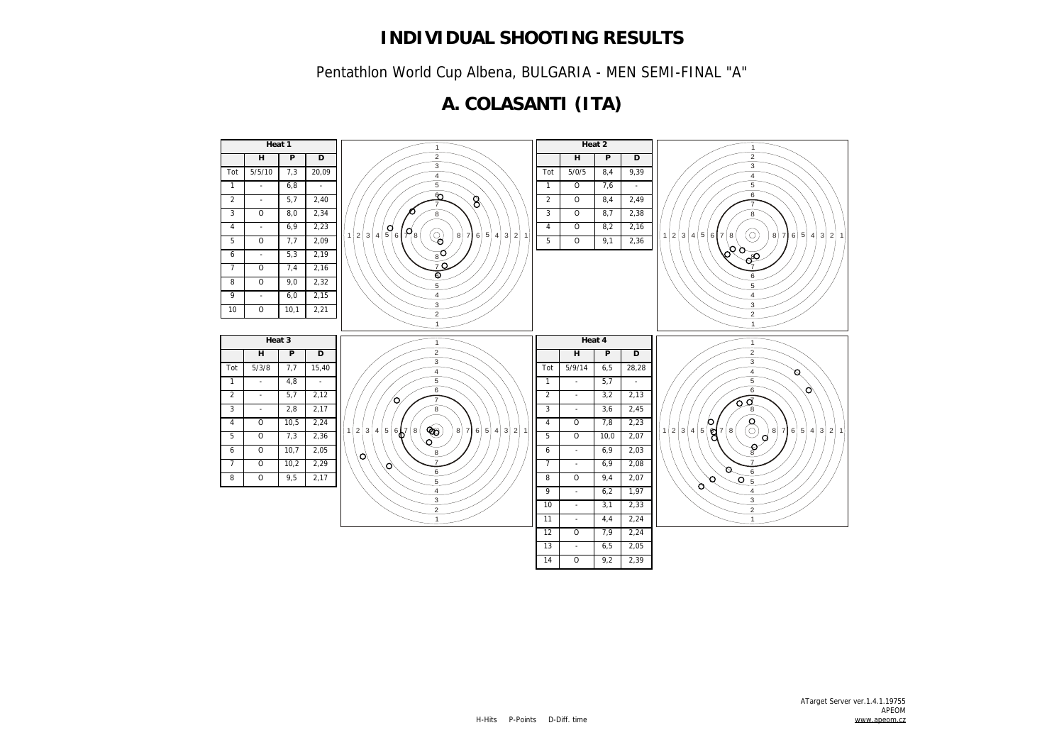Pentathlon World Cup Albena, BULGARIA - MEN SEMI-FINAL "A"

## **A. COLASANTI (ITA)**

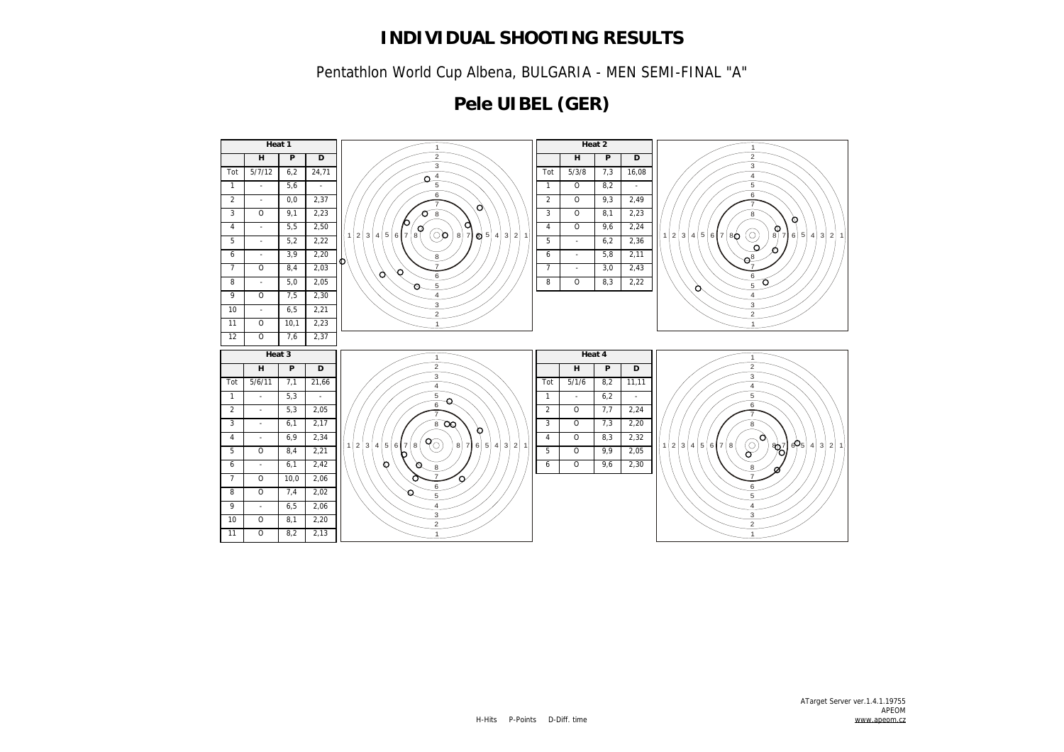Pentathlon World Cup Albena, BULGARIA - MEN SEMI-FINAL "A"

## **Pele UIBEL (GER)**

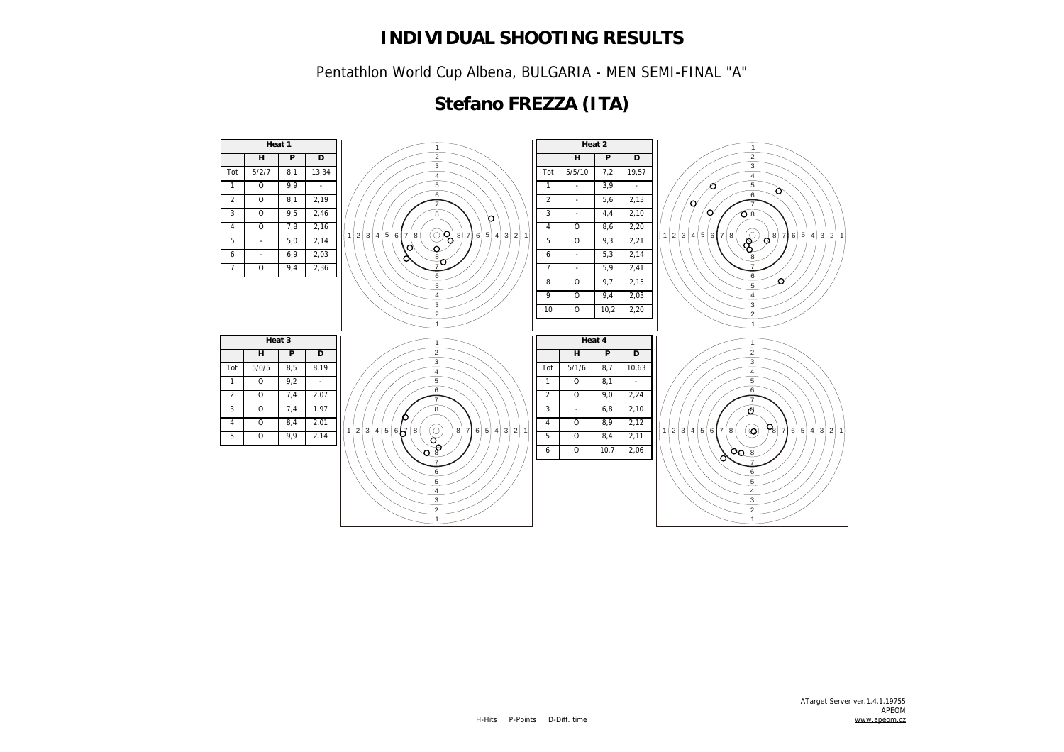Pentathlon World Cup Albena, BULGARIA - MEN SEMI-FINAL "A"

## **Stefano FREZZA (ITA)**

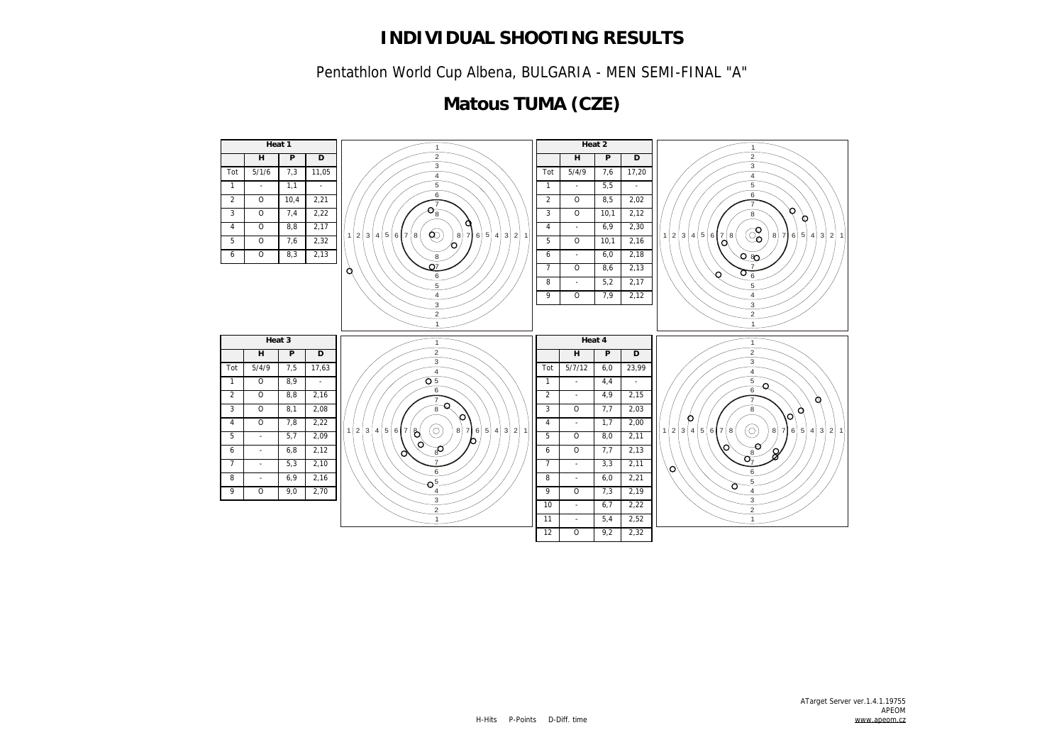Pentathlon World Cup Albena, BULGARIA - MEN SEMI-FINAL "A"

## **Matous TUMA (CZE)**